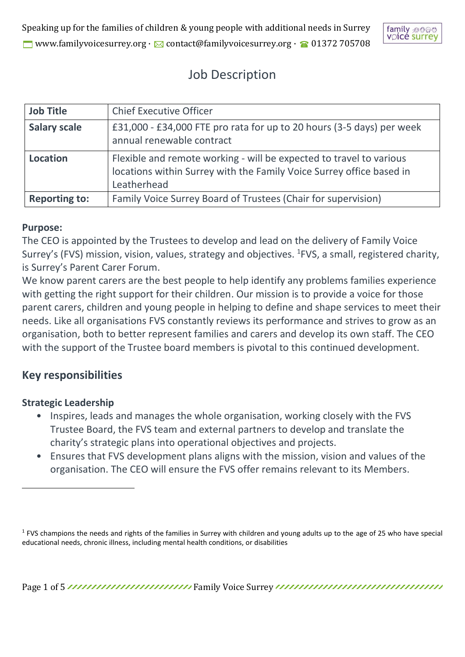

# Job Description

| <b>Job Title</b>     | <b>Chief Executive Officer</b>                                                                                                                             |
|----------------------|------------------------------------------------------------------------------------------------------------------------------------------------------------|
| <b>Salary scale</b>  | £31,000 - £34,000 FTE pro rata for up to 20 hours (3-5 days) per week<br>annual renewable contract                                                         |
| <b>Location</b>      | Flexible and remote working - will be expected to travel to various<br>locations within Surrey with the Family Voice Surrey office based in<br>Leatherhead |
| <b>Reporting to:</b> | Family Voice Surrey Board of Trustees (Chair for supervision)                                                                                              |

#### **Purpose:**

The CEO is appointed by the Trustees to develop and lead on the delivery of Family Voice Surrey's (FVS) mission, vision, values, strategy and objectives. <sup>1</sup>FVS, a small, registered charity, is Surrey's Parent Carer Forum.

We know parent carers are the best people to help identify any problems families experience with getting the right support for their children. Our mission is to provide a voice for those parent carers, children and young people in helping to define and shape services to meet their needs. Like all organisations FVS constantly reviews its performance and strives to grow as an organisation, both to better represent families and carers and develop its own staff. The CEO with the support of the Trustee board members is pivotal to this continued development.

# **Key responsibilities**

#### **Strategic Leadership**

- Inspires, leads and manages the whole organisation, working closely with the FVS Trustee Board, the FVS team and external partners to develop and translate the charity's strategic plans into operational objectives and projects.
- Ensures that FVS development plans aligns with the mission, vision and values of the organisation. The CEO will ensure the FVS offer remains relevant to its Members.

<sup>&</sup>lt;sup>1</sup> FVS champions the needs and rights of the families in Surrey with children and young adults up to the age of 25 who have special educational needs, chronic illness, including mental health conditions, or disabilities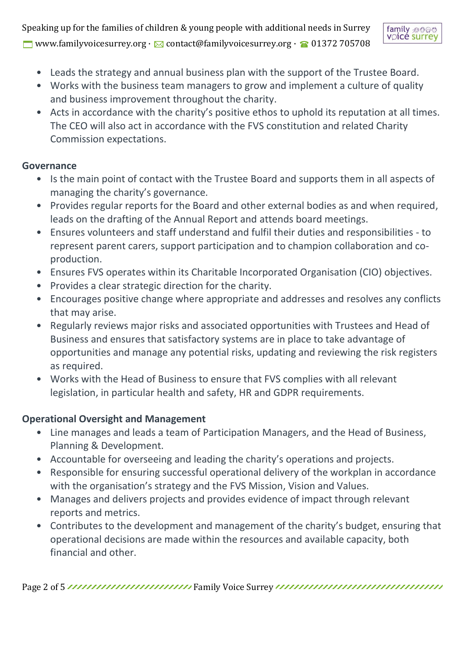Speaking up for the families of children & young people with additional needs in Surrey www.familyvoicesurrey.org ·  $\boxtimes$  contact@familyvoicesurrey.org ·  $\textcircled{a}$  01372 705708



- Leads the strategy and annual business plan with the support of the Trustee Board.
- Works with the business team managers to grow and implement a culture of quality and business improvement throughout the charity.
- Acts in accordance with the charity's positive ethos to uphold its reputation at all times. The CEO will also act in accordance with the FVS constitution and related Charity Commission expectations.

#### **Governance**

- Is the main point of contact with the Trustee Board and supports them in all aspects of managing the charity's governance.
- Provides regular reports for the Board and other external bodies as and when required, leads on the drafting of the Annual Report and attends board meetings.
- Ensures volunteers and staff understand and fulfil their duties and responsibilities to represent parent carers, support participation and to champion collaboration and coproduction.
- Ensures FVS operates within its Charitable Incorporated Organisation (CIO) objectives.
- Provides a clear strategic direction for the charity.
- Encourages positive change where appropriate and addresses and resolves any conflicts that may arise.
- Regularly reviews major risks and associated opportunities with Trustees and Head of Business and ensures that satisfactory systems are in place to take advantage of opportunities and manage any potential risks, updating and reviewing the risk registers as required.
- Works with the Head of Business to ensure that FVS complies with all relevant legislation, in particular health and safety, HR and GDPR requirements.

## **Operational Oversight and Management**

- Line manages and leads a team of Participation Managers, and the Head of Business, Planning & Development.
- Accountable for overseeing and leading the charity's operations and projects.
- Responsible for ensuring successful operational delivery of the workplan in accordance with the organisation's strategy and the FVS Mission, Vision and Values.
- Manages and delivers projects and provides evidence of impact through relevant reports and metrics.
- Contributes to the development and management of the charity's budget, ensuring that operational decisions are made within the resources and available capacity, both financial and other.

Page 2 of 5 Family Charles Family Voice Surrey Transmitted Transmitted Transmitted Transmitted Transmitted Tra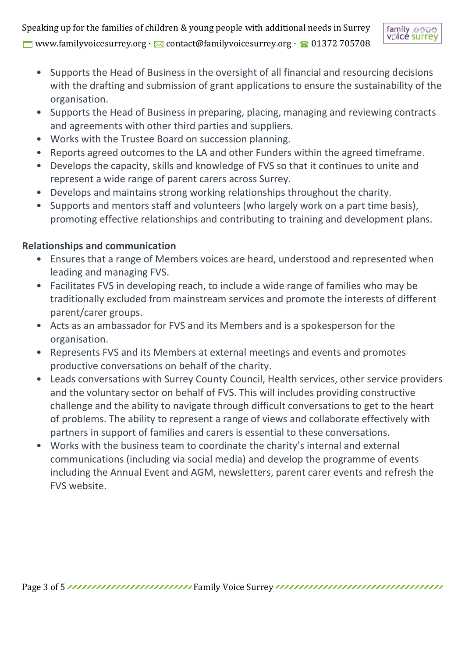Speaking up for the families of children & young people with additional needs in Surrey

www.familyvoicesurrey.org ·  $\boxtimes$  contact@familyvoicesurrey.org ·  $\textcircled{a}$  01372 705708



- Supports the Head of Business in the oversight of all financial and resourcing decisions with the drafting and submission of grant applications to ensure the sustainability of the organisation.
- Supports the Head of Business in preparing, placing, managing and reviewing contracts and agreements with other third parties and suppliers.
- Works with the Trustee Board on succession planning.
- Reports agreed outcomes to the LA and other Funders within the agreed timeframe.
- Develops the capacity, skills and knowledge of FVS so that it continues to unite and represent a wide range of parent carers across Surrey.
- Develops and maintains strong working relationships throughout the charity.
- Supports and mentors staff and volunteers (who largely work on a part time basis), promoting effective relationships and contributing to training and development plans.

## **Relationships and communication**

- Ensures that a range of Members voices are heard, understood and represented when leading and managing FVS.
- Facilitates FVS in developing reach, to include a wide range of families who may be traditionally excluded from mainstream services and promote the interests of different parent/carer groups.
- Acts as an ambassador for FVS and its Members and is a spokesperson for the organisation.
- Represents FVS and its Members at external meetings and events and promotes productive conversations on behalf of the charity.
- Leads conversations with Surrey County Council, Health services, other service providers and the voluntary sector on behalf of FVS. This will includes providing constructive challenge and the ability to navigate through difficult conversations to get to the heart of problems. The ability to represent a range of views and collaborate effectively with partners in support of families and carers is essential to these conversations.
- Works with the business team to coordinate the charity's internal and external communications (including via social media) and develop the programme of events including the Annual Event and AGM, newsletters, parent carer events and refresh the FVS website.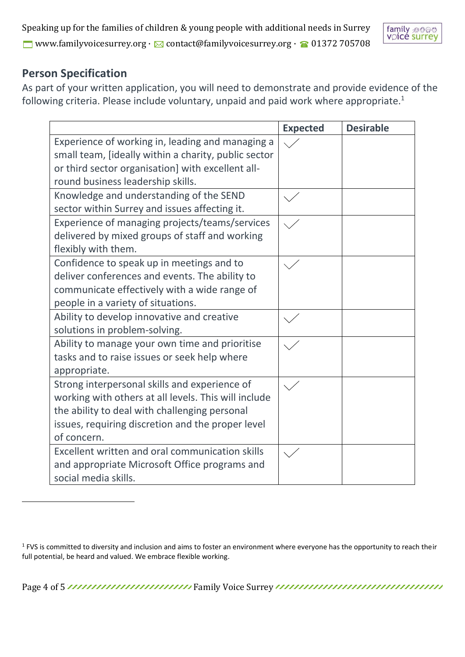Speaking up for the families of children & young people with additional needs in Surrey ■ www.familyvoicesurrey.org · △ contact@familyvoicesurrey.org · ● 01372 705708



## **Person Specification**

As part of your written application, you will need to demonstrate and provide evidence of the following criteria. Please include voluntary, unpaid and paid work where appropriate.<sup>1</sup>

|                                                              | <b>Expected</b> | <b>Desirable</b> |
|--------------------------------------------------------------|-----------------|------------------|
| Experience of working in, leading and managing a             |                 |                  |
| small team, <i>[ideally within a charity</i> , public sector |                 |                  |
| or third sector organisation] with excellent all-            |                 |                  |
| round business leadership skills.                            |                 |                  |
| Knowledge and understanding of the SEND                      |                 |                  |
| sector within Surrey and issues affecting it.                |                 |                  |
| Experience of managing projects/teams/services               |                 |                  |
| delivered by mixed groups of staff and working               |                 |                  |
| flexibly with them.                                          |                 |                  |
| Confidence to speak up in meetings and to                    |                 |                  |
| deliver conferences and events. The ability to               |                 |                  |
| communicate effectively with a wide range of                 |                 |                  |
| people in a variety of situations.                           |                 |                  |
| Ability to develop innovative and creative                   |                 |                  |
| solutions in problem-solving.                                |                 |                  |
| Ability to manage your own time and prioritise               |                 |                  |
| tasks and to raise issues or seek help where                 |                 |                  |
| appropriate.                                                 |                 |                  |
| Strong interpersonal skills and experience of                |                 |                  |
| working with others at all levels. This will include         |                 |                  |
| the ability to deal with challenging personal                |                 |                  |
| issues, requiring discretion and the proper level            |                 |                  |
| of concern.                                                  |                 |                  |
| Excellent written and oral communication skills              |                 |                  |
| and appropriate Microsoft Office programs and                |                 |                  |
| social media skills.                                         |                 |                  |

Page 4 of 5 **Family Internal Page 4 of 5 Family Voice Surrey** *Correspondent Contrast Limited Contrast and Segen Angle 4 of 5 Family Regular* **Family Noice Surrey** *Correlation Contrast of the Segen Angle 3 Family Regular*

 $1$  FVS is committed to diversity and inclusion and aims to foster an environment where everyone has the opportunity to reach their full potential, be heard and valued. We embrace flexible working.